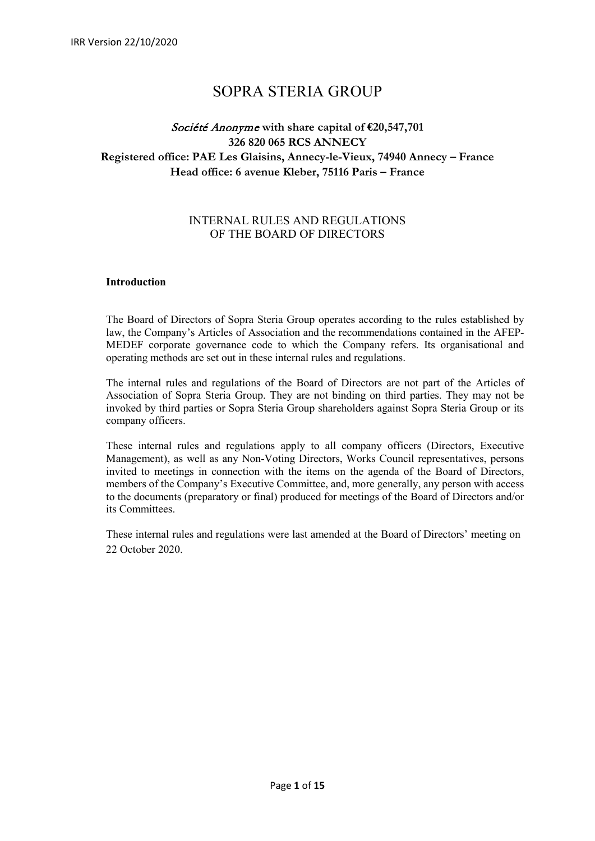# SOPRA STERIA GROUP

# Société Anonyme **with share capital of €20,547,701 326 820 065 RCS ANNECY Registered office: PAE Les Glaisins, Annecy-le-Vieux, 74940 Annecy – France Head office: 6 avenue Kleber, 75116 Paris – France**

# INTERNAL RULES AND REGULATIONS OF THE BOARD OF DIRECTORS

# **Introduction**

The Board of Directors of Sopra Steria Group operates according to the rules established by law, the Company's Articles of Association and the recommendations contained in the AFEP-MEDEF corporate governance code to which the Company refers. Its organisational and operating methods are set out in these internal rules and regulations.

The internal rules and regulations of the Board of Directors are not part of the Articles of Association of Sopra Steria Group. They are not binding on third parties. They may not be invoked by third parties or Sopra Steria Group shareholders against Sopra Steria Group or its company officers.

These internal rules and regulations apply to all company officers (Directors, Executive Management), as well as any Non-Voting Directors, Works Council representatives, persons invited to meetings in connection with the items on the agenda of the Board of Directors, members of the Company's Executive Committee, and, more generally, any person with access to the documents (preparatory or final) produced for meetings of the Board of Directors and/or its Committees.

These internal rules and regulations were last amended at the Board of Directors' meeting on 22 October 2020.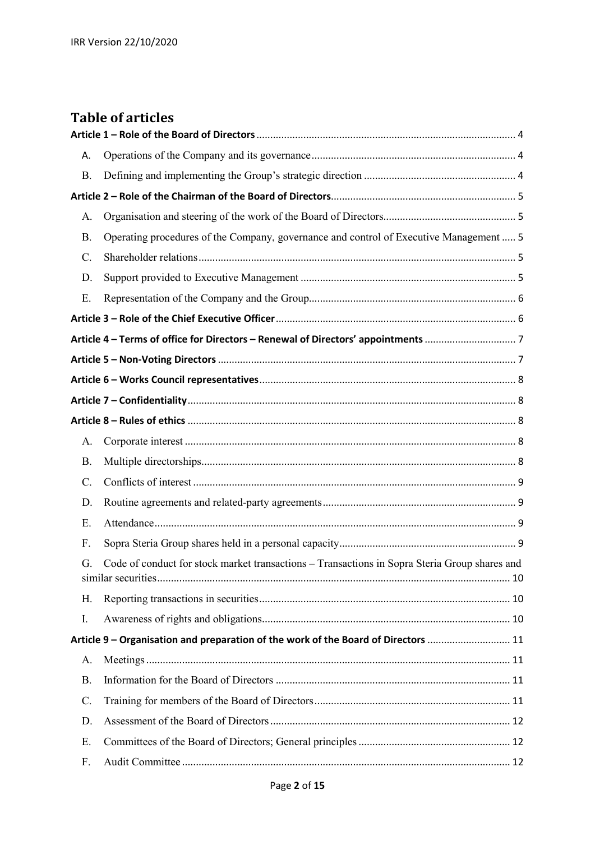# **Table of articles**

| Α.        |                                                                                               |  |  |  |
|-----------|-----------------------------------------------------------------------------------------------|--|--|--|
| <b>B.</b> |                                                                                               |  |  |  |
|           |                                                                                               |  |  |  |
| А.        |                                                                                               |  |  |  |
| <b>B.</b> | Operating procedures of the Company, governance and control of Executive Management  5        |  |  |  |
| C.        |                                                                                               |  |  |  |
| D.        |                                                                                               |  |  |  |
| Ε.        |                                                                                               |  |  |  |
|           |                                                                                               |  |  |  |
|           |                                                                                               |  |  |  |
|           |                                                                                               |  |  |  |
|           |                                                                                               |  |  |  |
|           |                                                                                               |  |  |  |
|           |                                                                                               |  |  |  |
| А.        |                                                                                               |  |  |  |
| <b>B.</b> |                                                                                               |  |  |  |
| C.        |                                                                                               |  |  |  |
| D.        |                                                                                               |  |  |  |
| E.        |                                                                                               |  |  |  |
| F.        |                                                                                               |  |  |  |
| G.        | Code of conduct for stock market transactions - Transactions in Sopra Steria Group shares and |  |  |  |
| Н.        |                                                                                               |  |  |  |
| I.        |                                                                                               |  |  |  |
|           | Article 9 - Organisation and preparation of the work of the Board of Directors  11            |  |  |  |
| А.        |                                                                                               |  |  |  |
| <b>B.</b> |                                                                                               |  |  |  |
| C.        |                                                                                               |  |  |  |
| D.        |                                                                                               |  |  |  |
| Ε.        |                                                                                               |  |  |  |
| F.        |                                                                                               |  |  |  |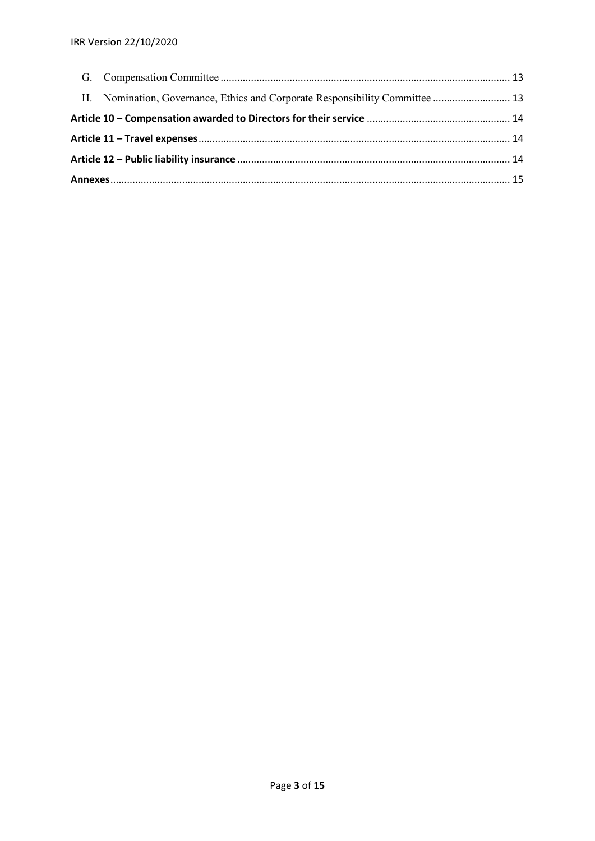|  | H. Nomination, Governance, Ethics and Corporate Responsibility Committee  13 |  |
|--|------------------------------------------------------------------------------|--|
|  |                                                                              |  |
|  |                                                                              |  |
|  |                                                                              |  |
|  |                                                                              |  |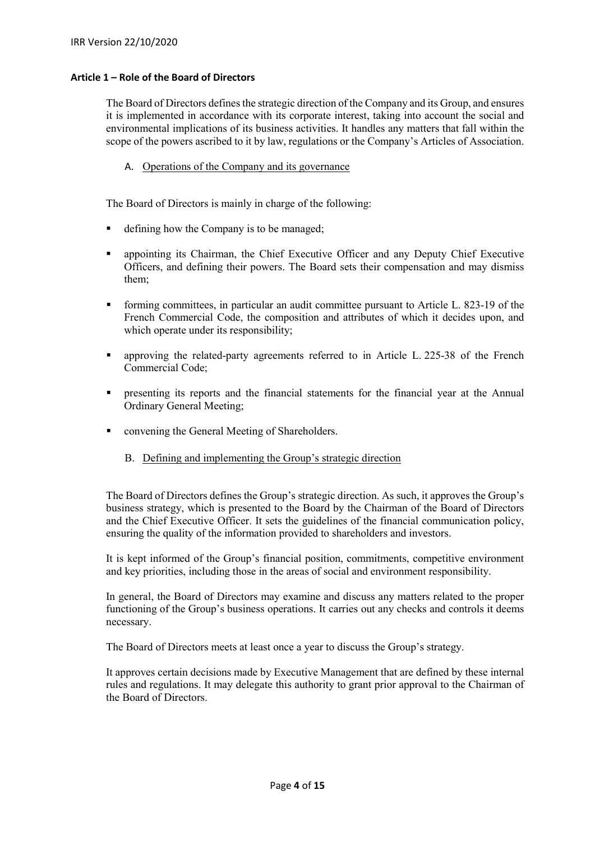# <span id="page-3-0"></span>**Article 1 – Role of the Board of Directors**

The Board of Directors defines the strategic direction of the Company and its Group, and ensures it is implemented in accordance with its corporate interest, taking into account the social and environmental implications of its business activities. It handles any matters that fall within the scope of the powers ascribed to it by law, regulations or the Company's Articles of Association.

A. Operations of the Company and its governance

<span id="page-3-1"></span>The Board of Directors is mainly in charge of the following:

- defining how the Company is to be managed;
- appointing its Chairman, the Chief Executive Officer and any Deputy Chief Executive Officers, and defining their powers. The Board sets their compensation and may dismiss them;
- forming committees, in particular an audit committee pursuant to Article L. 823-19 of the French Commercial Code, the composition and attributes of which it decides upon, and which operate under its responsibility;
- **approving the related-party agreements referred to in Article L. 225-38 of the French** Commercial Code;
- presenting its reports and the financial statements for the financial year at the Annual Ordinary General Meeting;
- <span id="page-3-2"></span>• convening the General Meeting of Shareholders.
	- B. Defining and implementing the Group's strategic direction

The Board of Directors defines the Group's strategic direction. As such, it approves the Group's business strategy, which is presented to the Board by the Chairman of the Board of Directors and the Chief Executive Officer. It sets the guidelines of the financial communication policy, ensuring the quality of the information provided to shareholders and investors.

It is kept informed of the Group's financial position, commitments, competitive environment and key priorities, including those in the areas of social and environment responsibility.

In general, the Board of Directors may examine and discuss any matters related to the proper functioning of the Group's business operations. It carries out any checks and controls it deems necessary.

The Board of Directors meets at least once a year to discuss the Group's strategy.

It approves certain decisions made by Executive Management that are defined by these internal rules and regulations. It may delegate this authority to grant prior approval to the Chairman of the Board of Directors.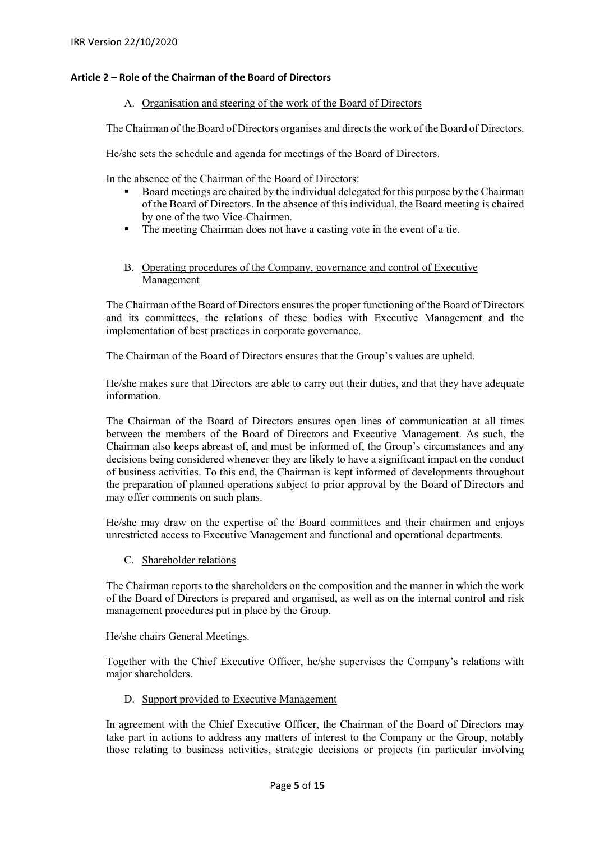# <span id="page-4-1"></span><span id="page-4-0"></span>**Article 2 – Role of the Chairman of the Board of Directors**

# A. Organisation and steering of the work of the Board of Directors

The Chairman of the Board of Directors organises and directs the work of the Board of Directors.

He/she sets the schedule and agenda for meetings of the Board of Directors.

In the absence of the Chairman of the Board of Directors:

- Board meetings are chaired by the individual delegated for this purpose by the Chairman of the Board of Directors. In the absence of this individual, the Board meeting is chaired by one of the two Vice-Chairmen.
- The meeting Chairman does not have a casting vote in the event of a tie.
- B. Operating procedures of the Company, governance and control of Executive Management

<span id="page-4-2"></span>The Chairman of the Board of Directors ensures the proper functioning of the Board of Directors and its committees, the relations of these bodies with Executive Management and the implementation of best practices in corporate governance.

The Chairman of the Board of Directors ensures that the Group's values are upheld.

He/she makes sure that Directors are able to carry out their duties, and that they have adequate information.

The Chairman of the Board of Directors ensures open lines of communication at all times between the members of the Board of Directors and Executive Management. As such, the Chairman also keeps abreast of, and must be informed of, the Group's circumstances and any decisions being considered whenever they are likely to have a significant impact on the conduct of business activities. To this end, the Chairman is kept informed of developments throughout the preparation of planned operations subject to prior approval by the Board of Directors and may offer comments on such plans.

He/she may draw on the expertise of the Board committees and their chairmen and enjoys unrestricted access to Executive Management and functional and operational departments.

C. Shareholder relations

<span id="page-4-3"></span>The Chairman reports to the shareholders on the composition and the manner in which the work of the Board of Directors is prepared and organised, as well as on the internal control and risk management procedures put in place by the Group.

He/she chairs General Meetings.

Together with the Chief Executive Officer, he/she supervises the Company's relations with major shareholders.

# D. Support provided to Executive Management

<span id="page-4-4"></span>In agreement with the Chief Executive Officer, the Chairman of the Board of Directors may take part in actions to address any matters of interest to the Company or the Group, notably those relating to business activities, strategic decisions or projects (in particular involving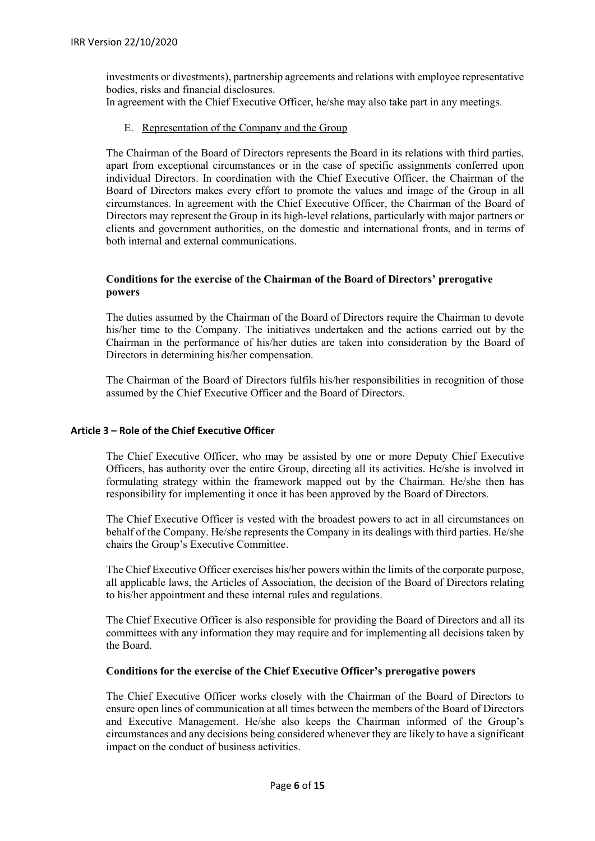investments or divestments), partnership agreements and relations with employee representative bodies, risks and financial disclosures.

<span id="page-5-0"></span>In agreement with the Chief Executive Officer, he/she may also take part in any meetings.

# E. Representation of the Company and the Group

The Chairman of the Board of Directors represents the Board in its relations with third parties, apart from exceptional circumstances or in the case of specific assignments conferred upon individual Directors. In coordination with the Chief Executive Officer, the Chairman of the Board of Directors makes every effort to promote the values and image of the Group in all circumstances. In agreement with the Chief Executive Officer, the Chairman of the Board of Directors may represent the Group in its high-level relations, particularly with major partners or clients and government authorities, on the domestic and international fronts, and in terms of both internal and external communications.

# **Conditions for the exercise of the Chairman of the Board of Directors' prerogative powers**

The duties assumed by the Chairman of the Board of Directors require the Chairman to devote his/her time to the Company. The initiatives undertaken and the actions carried out by the Chairman in the performance of his/her duties are taken into consideration by the Board of Directors in determining his/her compensation.

The Chairman of the Board of Directors fulfils his/her responsibilities in recognition of those assumed by the Chief Executive Officer and the Board of Directors.

# <span id="page-5-1"></span>**Article 3 – Role of the Chief Executive Officer**

The Chief Executive Officer, who may be assisted by one or more Deputy Chief Executive Officers, has authority over the entire Group, directing all its activities. He/she is involved in formulating strategy within the framework mapped out by the Chairman. He/she then has responsibility for implementing it once it has been approved by the Board of Directors.

The Chief Executive Officer is vested with the broadest powers to act in all circumstances on behalf of the Company. He/she represents the Company in its dealings with third parties. He/she chairs the Group's Executive Committee.

The Chief Executive Officer exercises his/her powers within the limits of the corporate purpose, all applicable laws, the Articles of Association, the decision of the Board of Directors relating to his/her appointment and these internal rules and regulations.

The Chief Executive Officer is also responsible for providing the Board of Directors and all its committees with any information they may require and for implementing all decisions taken by the Board.

# **Conditions for the exercise of the Chief Executive Officer's prerogative powers**

The Chief Executive Officer works closely with the Chairman of the Board of Directors to ensure open lines of communication at all times between the members of the Board of Directors and Executive Management. He/she also keeps the Chairman informed of the Group's circumstances and any decisions being considered whenever they are likely to have a significant impact on the conduct of business activities.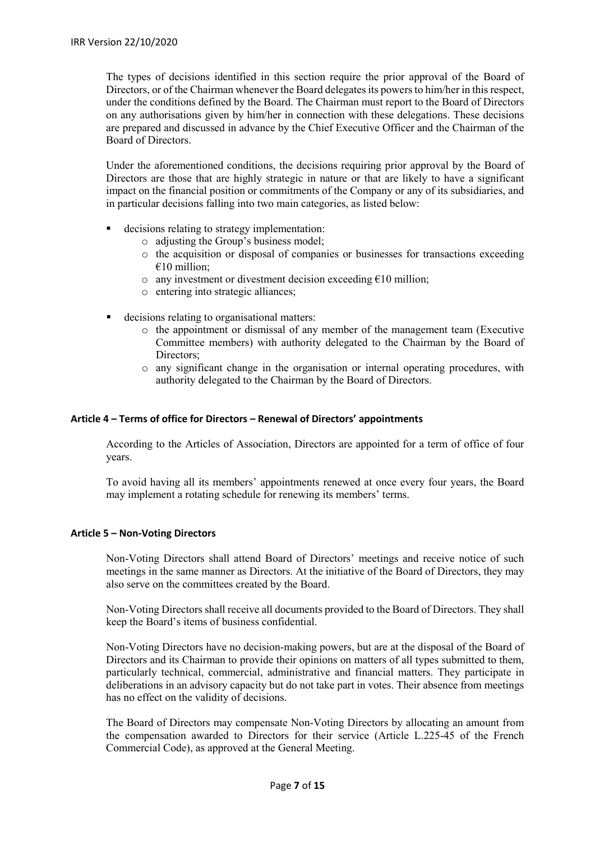The types of decisions identified in this section require the prior approval of the Board of Directors, or of the Chairman whenever the Board delegates its powers to him/her in this respect, under the conditions defined by the Board. The Chairman must report to the Board of Directors on any authorisations given by him/her in connection with these delegations. These decisions are prepared and discussed in advance by the Chief Executive Officer and the Chairman of the Board of Directors.

Under the aforementioned conditions, the decisions requiring prior approval by the Board of Directors are those that are highly strategic in nature or that are likely to have a significant impact on the financial position or commitments of the Company or any of its subsidiaries, and in particular decisions falling into two main categories, as listed below:

- decisions relating to strategy implementation:
	- o adjusting the Group's business model;
	- o the acquisition or disposal of companies or businesses for transactions exceeding  $€10$  million:
	- o any investment or divestment decision exceeding  $\epsilon$ 10 million;
	- o entering into strategic alliances;
- decisions relating to organisational matters:
	- o the appointment or dismissal of any member of the management team (Executive Committee members) with authority delegated to the Chairman by the Board of Directors;
	- o any significant change in the organisation or internal operating procedures, with authority delegated to the Chairman by the Board of Directors.

# <span id="page-6-0"></span>**Article 4 – Terms of office for Directors – Renewal of Directors' appointments**

According to the Articles of Association, Directors are appointed for a term of office of four years.

To avoid having all its members' appointments renewed at once every four years, the Board may implement a rotating schedule for renewing its members' terms.

# <span id="page-6-1"></span>**Article 5 – Non-Voting Directors**

Non-Voting Directors shall attend Board of Directors' meetings and receive notice of such meetings in the same manner as Directors. At the initiative of the Board of Directors, they may also serve on the committees created by the Board.

Non-Voting Directors shall receive all documents provided to the Board of Directors. They shall keep the Board's items of business confidential.

Non-Voting Directors have no decision-making powers, but are at the disposal of the Board of Directors and its Chairman to provide their opinions on matters of all types submitted to them, particularly technical, commercial, administrative and financial matters. They participate in deliberations in an advisory capacity but do not take part in votes. Their absence from meetings has no effect on the validity of decisions.

The Board of Directors may compensate Non-Voting Directors by allocating an amount from the compensation awarded to Directors for their service (Article L.225-45 of the French Commercial Code), as approved at the General Meeting.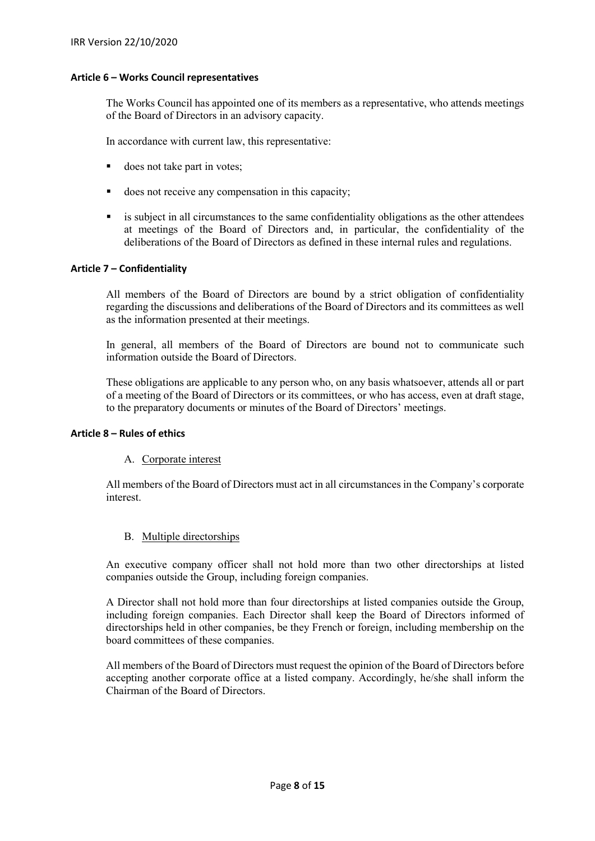# <span id="page-7-0"></span>**Article 6 – Works Council representatives**

The Works Council has appointed one of its members as a representative, who attends meetings of the Board of Directors in an advisory capacity.

In accordance with current law, this representative:

- does not take part in votes;
- does not receive any compensation in this capacity;
- is subject in all circumstances to the same confidentiality obligations as the other attendees at meetings of the Board of Directors and, in particular, the confidentiality of the deliberations of the Board of Directors as defined in these internal rules and regulations.

# <span id="page-7-1"></span>**Article 7 – Confidentiality**

All members of the Board of Directors are bound by a strict obligation of confidentiality regarding the discussions and deliberations of the Board of Directors and its committees as well as the information presented at their meetings.

In general, all members of the Board of Directors are bound not to communicate such information outside the Board of Directors.

These obligations are applicable to any person who, on any basis whatsoever, attends all or part of a meeting of the Board of Directors or its committees, or who has access, even at draft stage, to the preparatory documents or minutes of the Board of Directors' meetings.

#### <span id="page-7-3"></span><span id="page-7-2"></span>**Article 8 – Rules of ethics**

# A. Corporate interest

<span id="page-7-4"></span>All members of the Board of Directors must act in all circumstances in the Company's corporate interest.

# B. Multiple directorships

An executive company officer shall not hold more than two other directorships at listed companies outside the Group, including foreign companies.

A Director shall not hold more than four directorships at listed companies outside the Group, including foreign companies. Each Director shall keep the Board of Directors informed of directorships held in other companies, be they French or foreign, including membership on the board committees of these companies.

All members of the Board of Directors must request the opinion of the Board of Directors before accepting another corporate office at a listed company. Accordingly, he/she shall inform the Chairman of the Board of Directors.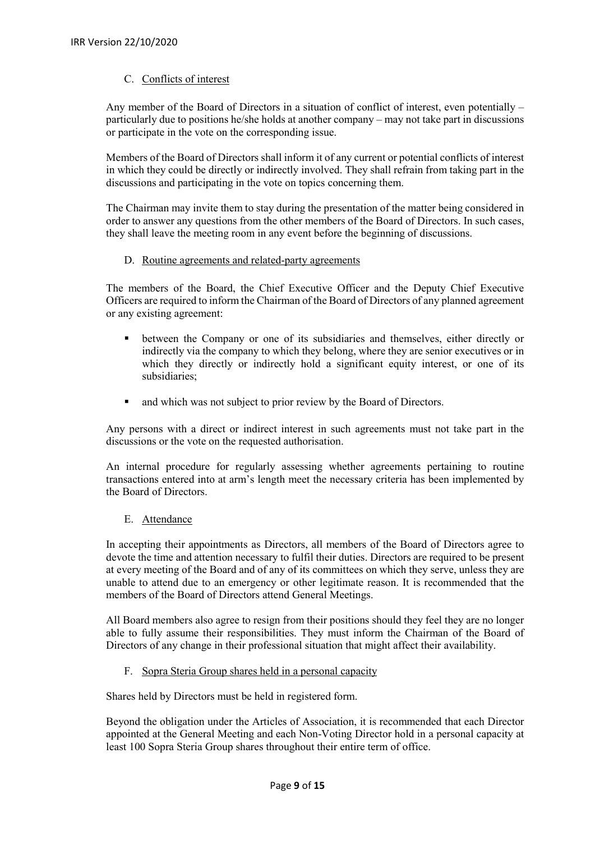# C. Conflicts of interest

<span id="page-8-0"></span>Any member of the Board of Directors in a situation of conflict of interest, even potentially – particularly due to positions he/she holds at another company – may not take part in discussions or participate in the vote on the corresponding issue.

Members of the Board of Directors shall inform it of any current or potential conflicts of interest in which they could be directly or indirectly involved. They shall refrain from taking part in the discussions and participating in the vote on topics concerning them.

<span id="page-8-1"></span>The Chairman may invite them to stay during the presentation of the matter being considered in order to answer any questions from the other members of the Board of Directors. In such cases, they shall leave the meeting room in any event before the beginning of discussions.

# D. Routine agreements and related-party agreements

The members of the Board, the Chief Executive Officer and the Deputy Chief Executive Officers are required to inform the Chairman of the Board of Directors of any planned agreement or any existing agreement:

- between the Company or one of its subsidiaries and themselves, either directly or indirectly via the company to which they belong, where they are senior executives or in which they directly or indirectly hold a significant equity interest, or one of its subsidiaries;
- and which was not subject to prior review by the Board of Directors.

Any persons with a direct or indirect interest in such agreements must not take part in the discussions or the vote on the requested authorisation.

An internal procedure for regularly assessing whether agreements pertaining to routine transactions entered into at arm's length meet the necessary criteria has been implemented by the Board of Directors.

# E. Attendance

<span id="page-8-2"></span>In accepting their appointments as Directors, all members of the Board of Directors agree to devote the time and attention necessary to fulfil their duties. Directors are required to be present at every meeting of the Board and of any of its committees on which they serve, unless they are unable to attend due to an emergency or other legitimate reason. It is recommended that the members of the Board of Directors attend General Meetings.

All Board members also agree to resign from their positions should they feel they are no longer able to fully assume their responsibilities. They must inform the Chairman of the Board of Directors of any change in their professional situation that might affect their availability.

F. Sopra Steria Group shares held in a personal capacity

<span id="page-8-3"></span>Shares held by Directors must be held in registered form.

Beyond the obligation under the Articles of Association, it is recommended that each Director appointed at the General Meeting and each Non-Voting Director hold in a personal capacity at least 100 Sopra Steria Group shares throughout their entire term of office.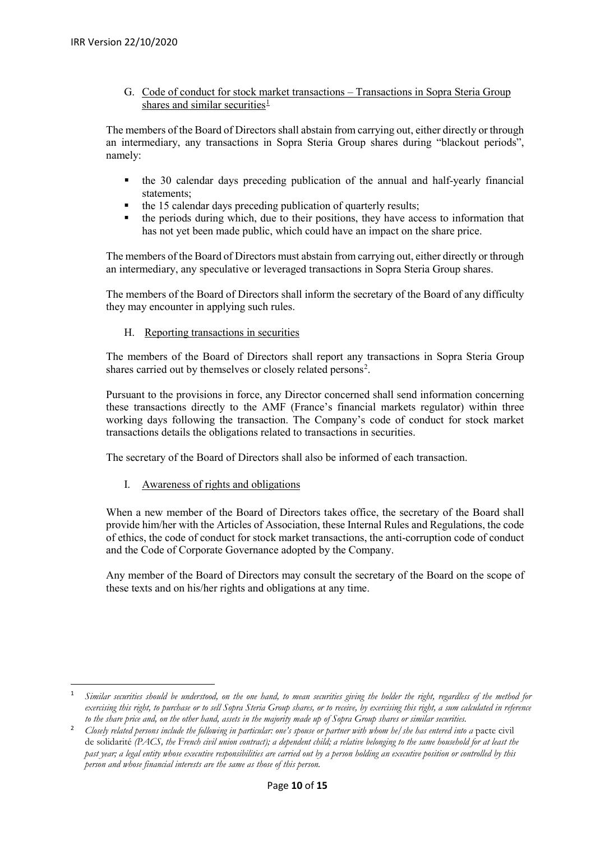G. Code of conduct for stock market transactions – Transactions in Sopra Steria Group shares and similar securities<sup>[1](#page-9-3)</sup>

<span id="page-9-0"></span>The members of the Board of Directors shall abstain from carrying out, either directly or through an intermediary, any transactions in Sopra Steria Group shares during "blackout periods", namely:

- the 30 calendar days preceding publication of the annual and half-yearly financial statements;
- the 15 calendar days preceding publication of quarterly results;
- the periods during which, due to their positions, they have access to information that has not yet been made public, which could have an impact on the share price.

The members of the Board of Directors must abstain from carrying out, either directly or through an intermediary, any speculative or leveraged transactions in Sopra Steria Group shares.

The members of the Board of Directors shall inform the secretary of the Board of any difficulty they may encounter in applying such rules.

<span id="page-9-1"></span>H. Reporting transactions in securities

The members of the Board of Directors shall report any transactions in Sopra Steria Group shares carried out by themselves or closely related persons<sup>2</sup>.

Pursuant to the provisions in force, any Director concerned shall send information concerning these transactions directly to the AMF (France's financial markets regulator) within three working days following the transaction. The Company's code of conduct for stock market transactions details the obligations related to transactions in securities.

<span id="page-9-2"></span>The secretary of the Board of Directors shall also be informed of each transaction.

I. Awareness of rights and obligations

When a new member of the Board of Directors takes office, the secretary of the Board shall provide him/her with the Articles of Association, these Internal Rules and Regulations, the code of ethics, the code of conduct for stock market transactions, the anti-corruption code of conduct and the Code of Corporate Governance adopted by the Company.

Any member of the Board of Directors may consult the secretary of the Board on the scope of these texts and on his/her rights and obligations at any time.

<span id="page-9-3"></span> <sup>1</sup> *Similar securities should be understood, on the one hand, to mean securities giving the holder the right, regardless of the method for exercising this right, to purchase or to sell Sopra Steria Group shares, or to receive, by exercising this right, a sum calculated in reference to the share price and, on the other hand, assets in the majority made up of Sopra Group shares or similar securities.*

<span id="page-9-4"></span><sup>&</sup>lt;sup>2</sup> Closely related persons include the following in particular: one's spouse or partner with whom he/she has entered into a pacte civil de solidarité *(PACS, the French civil union contract); a dependent child; a relative belonging to the same household for at least the past year; a legal entity whose executive responsibilities are carried out by a person holding an executive position or controlled by this person and whose financial interests are the same as those of this person.*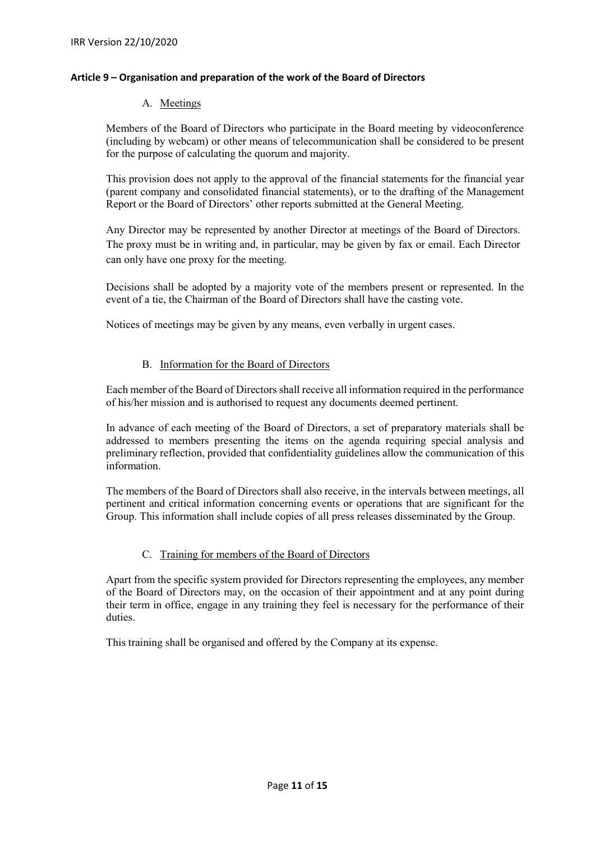# <span id="page-10-1"></span><span id="page-10-0"></span>**Article 9 – Organisation and preparation of the work of the Board of Directors**

# A. Meetings

Members of the Board of Directors who participate in the Board meeting by videoconference (including by webcam) or other means of telecommunication shall be considered to be present for the purpose of calculating the quorum and majority.

This provision does not apply to the approval of the financial statements for the financial year (parent company and consolidated financial statements), or to the drafting of the Management Report or the Board of Directors' other reports submitted at the General Meeting.

Any Director may be represented by another Director at meetings of the Board of Directors. The proxy must be in writing and, in particular, may be given by fax or email. Each Director can only have one proxy for the meeting.

Decisions shall be adopted by a majority vote of the members present or represented. In the event of a tie, the Chairman of the Board of Directors shall have the casting vote.

Notices of meetings may be given by any means, even verbally in urgent cases.

# B. Information for the Board of Directors

<span id="page-10-2"></span>Each member of the Board of Directors shall receive all information required in the performance of his/her mission and is authorised to request any documents deemed pertinent.

In advance of each meeting of the Board of Directors, a set of preparatory materials shall be addressed to members presenting the items on the agenda requiring special analysis and preliminary reflection, provided that confidentiality guidelines allow the communication of this information.

The members of the Board of Directors shall also receive, in the intervals between meetings, all pertinent and critical information concerning events or operations that are significant for the Group. This information shall include copies of all press releases disseminated by the Group.

# C. Training for members of the Board of Directors

<span id="page-10-3"></span>Apart from the specific system provided for Directors representing the employees, any member of the Board of Directors may, on the occasion of their appointment and at any point during their term in office, engage in any training they feel is necessary for the performance of their duties.

This training shall be organised and offered by the Company at its expense.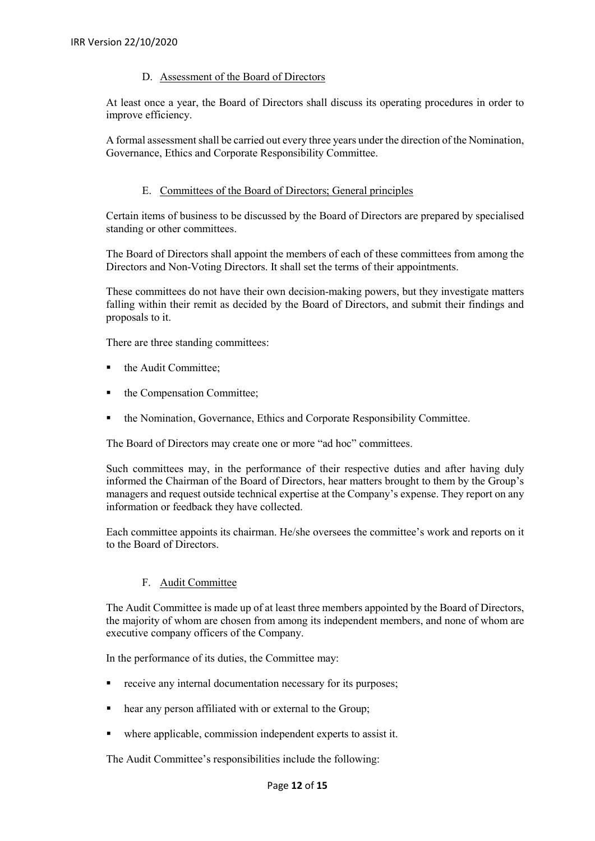# D. Assessment of the Board of Directors

<span id="page-11-0"></span>At least once a year, the Board of Directors shall discuss its operating procedures in order to improve efficiency.

A formal assessment shall be carried out every three years under the direction of the Nomination, Governance, Ethics and Corporate Responsibility Committee.

# E. Committees of the Board of Directors; General principles

<span id="page-11-1"></span>Certain items of business to be discussed by the Board of Directors are prepared by specialised standing or other committees.

The Board of Directors shall appoint the members of each of these committees from among the Directors and Non-Voting Directors. It shall set the terms of their appointments.

These committees do not have their own decision-making powers, but they investigate matters falling within their remit as decided by the Board of Directors, and submit their findings and proposals to it.

There are three standing committees:

- the Audit Committee;
- the Compensation Committee;
- the Nomination, Governance, Ethics and Corporate Responsibility Committee.

The Board of Directors may create one or more "ad hoc" committees.

Such committees may, in the performance of their respective duties and after having duly informed the Chairman of the Board of Directors, hear matters brought to them by the Group's managers and request outside technical expertise at the Company's expense. They report on any information or feedback they have collected.

Each committee appoints its chairman. He/she oversees the committee's work and reports on it to the Board of Directors.

# F. Audit Committee

<span id="page-11-2"></span>The Audit Committee is made up of at least three members appointed by the Board of Directors, the majority of whom are chosen from among its independent members, and none of whom are executive company officers of the Company.

In the performance of its duties, the Committee may:

- receive any internal documentation necessary for its purposes;
- hear any person affiliated with or external to the Group;
- where applicable, commission independent experts to assist it.

The Audit Committee's responsibilities include the following: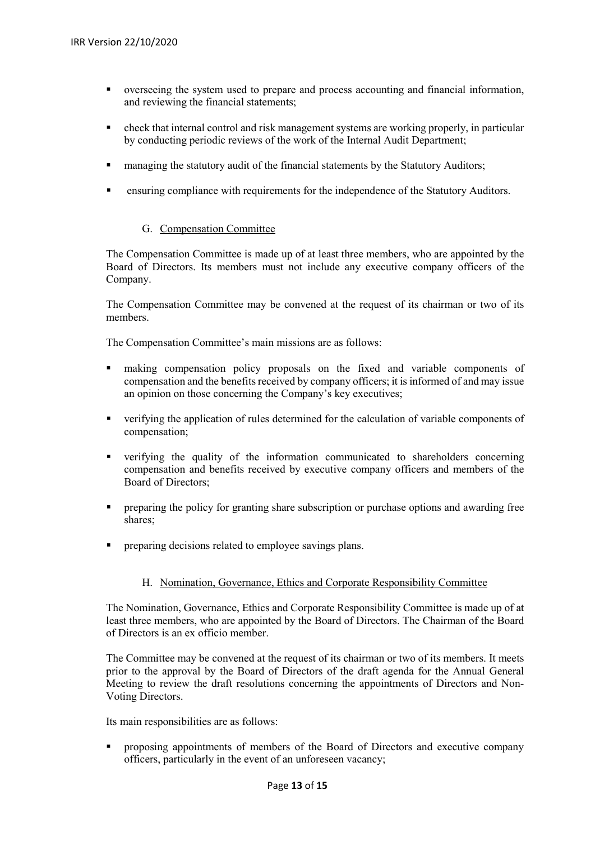- overseeing the system used to prepare and process accounting and financial information, and reviewing the financial statements;
- check that internal control and risk management systems are working properly, in particular by conducting periodic reviews of the work of the Internal Audit Department;
- **Example 1** managing the statutory audit of the financial statements by the Statutory Auditors;
- ensuring compliance with requirements for the independence of the Statutory Auditors.

# G. Compensation Committee

<span id="page-12-0"></span>The Compensation Committee is made up of at least three members, who are appointed by the Board of Directors. Its members must not include any executive company officers of the Company.

The Compensation Committee may be convened at the request of its chairman or two of its members.

The Compensation Committee's main missions are as follows:

- making compensation policy proposals on the fixed and variable components of compensation and the benefits received by company officers; it is informed of and may issue an opinion on those concerning the Company's key executives;
- verifying the application of rules determined for the calculation of variable components of compensation;
- verifying the quality of the information communicated to shareholders concerning compensation and benefits received by executive company officers and members of the Board of Directors;
- **PEDIES 1** preparing the policy for granting share subscription or purchase options and awarding free shares:
- **PEDRICA** preparing decisions related to employee savings plans.

# H. Nomination, Governance, Ethics and Corporate Responsibility Committee

<span id="page-12-1"></span>The Nomination, Governance, Ethics and Corporate Responsibility Committee is made up of at least three members, who are appointed by the Board of Directors. The Chairman of the Board of Directors is an ex officio member.

The Committee may be convened at the request of its chairman or two of its members. It meets prior to the approval by the Board of Directors of the draft agenda for the Annual General Meeting to review the draft resolutions concerning the appointments of Directors and Non-Voting Directors.

Its main responsibilities are as follows:

 proposing appointments of members of the Board of Directors and executive company officers, particularly in the event of an unforeseen vacancy;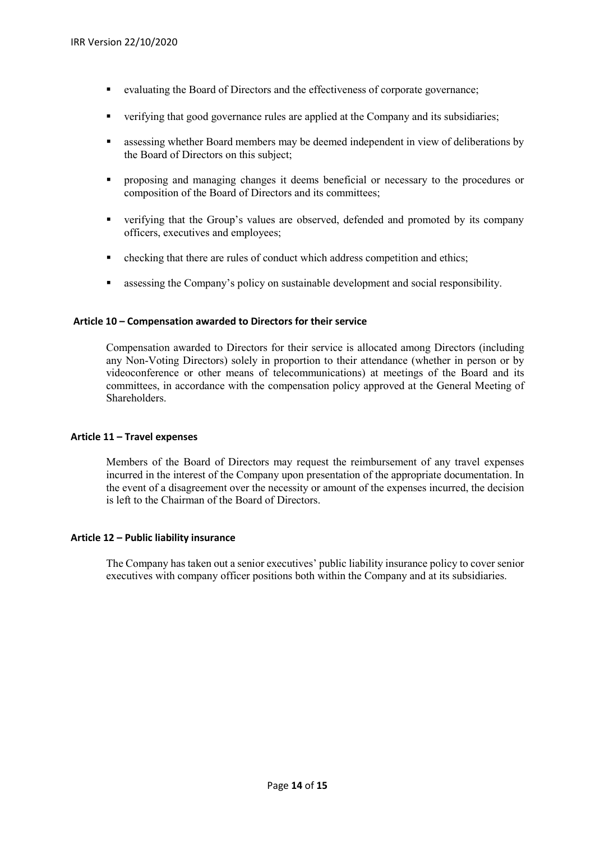- evaluating the Board of Directors and the effectiveness of corporate governance;
- verifying that good governance rules are applied at the Company and its subsidiaries;
- assessing whether Board members may be deemed independent in view of deliberations by the Board of Directors on this subject;
- **Peroposing and managing changes it deems beneficial or necessary to the procedures or** composition of the Board of Directors and its committees;
- verifying that the Group's values are observed, defended and promoted by its company officers, executives and employees;
- checking that there are rules of conduct which address competition and ethics;
- assessing the Company's policy on sustainable development and social responsibility.

# <span id="page-13-0"></span>**Article 10 – Compensation awarded to Directors for their service**

Compensation awarded to Directors for their service is allocated among Directors (including any Non-Voting Directors) solely in proportion to their attendance (whether in person or by videoconference or other means of telecommunications) at meetings of the Board and its committees, in accordance with the compensation policy approved at the General Meeting of Shareholders.

# <span id="page-13-1"></span>**Article 11 – Travel expenses**

Members of the Board of Directors may request the reimbursement of any travel expenses incurred in the interest of the Company upon presentation of the appropriate documentation. In the event of a disagreement over the necessity or amount of the expenses incurred, the decision is left to the Chairman of the Board of Directors.

# <span id="page-13-2"></span>**Article 12 – Public liability insurance**

The Company has taken out a senior executives' public liability insurance policy to cover senior executives with company officer positions both within the Company and at its subsidiaries.